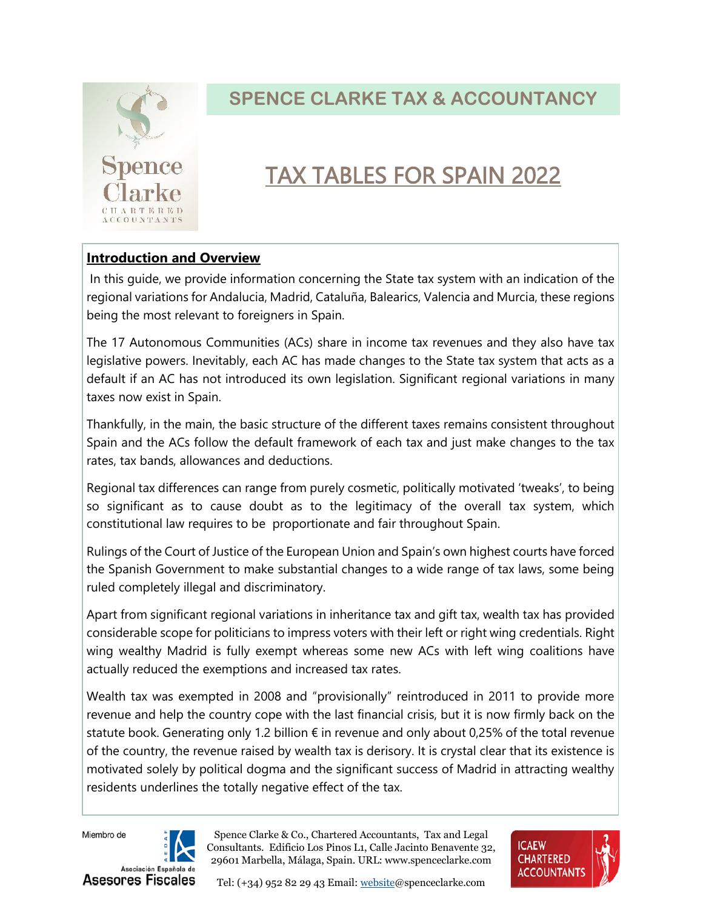

## TAX TABLES FOR SPAIN 2022

#### **Introduction and Overview**

In this guide, we provide information concerning the State tax system with an indication of the regional variations for Andalucia, Madrid, Cataluña, Balearics, Valencia and Murcia, these regions being the most relevant to foreigners in Spain.

The 17 Autonomous Communities (ACs) share in income tax revenues and they also have tax legislative powers. Inevitably, each AC has made changes to the State tax system that acts as a default if an AC has not introduced its own legislation. Significant regional variations in many taxes now exist in Spain.

Thankfully, in the main, the basic structure of the different taxes remains consistent throughout Spain and the ACs follow the default framework of each tax and just make changes to the tax rates, tax bands, allowances and deductions.

Regional tax differences can range from purely cosmetic, politically motivated 'tweaks', to being so significant as to cause doubt as to the legitimacy of the overall tax system, which constitutional law requires to be proportionate and fair throughout Spain.

Rulings of the Court of Justice of the European Union and Spain's own highest courts have forced the Spanish Government to make substantial changes to a wide range of tax laws, some being ruled completely illegal and discriminatory.

Apart from significant regional variations in inheritance tax and gift tax, wealth tax has provided considerable scope for politicians to impress voters with their left or right wing credentials. Right wing wealthy Madrid is fully exempt whereas some new ACs with left wing coalitions have actually reduced the exemptions and increased tax rates.

Wealth tax was exempted in 2008 and "provisionally" reintroduced in 2011 to provide more revenue and help the country cope with the last financial crisis, but it is now firmly back on the statute book. Generating only 1.2 billion  $\epsilon$  in revenue and only about 0,25% of the total revenue of the country, the revenue raised by wealth tax is derisory. It is crystal clear that its existence is motivated solely by political dogma and the significant success of Madrid in attracting wealthy residents underlines the totally negative effect of the tax.

Miembro de



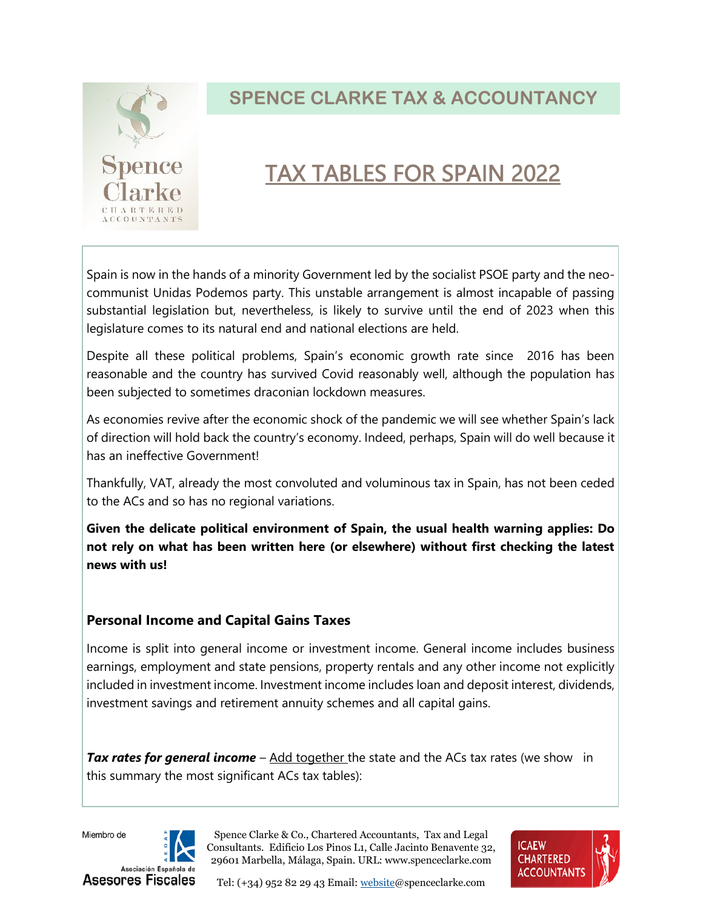

## TAX TABLES FOR SPAIN 2022

Spain is now in the hands of a minority Government led by the socialist PSOE party and the neocommunist Unidas Podemos party. This unstable arrangement is almost incapable of passing substantial legislation but, nevertheless, is likely to survive until the end of 2023 when this legislature comes to its natural end and national elections are held.

Despite all these political problems, Spain's economic growth rate since 2016 has been reasonable and the country has survived Covid reasonably well, although the population has been subjected to sometimes draconian lockdown measures.

As economies revive after the economic shock of the pandemic we will see whether Spain's lack of direction will hold back the country's economy. Indeed, perhaps, Spain will do well because it has an ineffective Government!

Thankfully, VAT, already the most convoluted and voluminous tax in Spain, has not been ceded to the ACs and so has no regional variations.

**Given the delicate political environment of Spain, the usual health warning applies: Do not rely on what has been written here (or elsewhere) without first checking the latest news with us!** 

#### **Personal Income and Capital Gains Taxes**

Income is split into general income or investment income. General income includes business earnings, employment and state pensions, property rentals and any other income not explicitly included in investment income. Investment income includes loan and deposit interest, dividends, investment savings and retirement annuity schemes and all capital gains.

**Tax rates for general income** – Add together the state and the ACs tax rates (we show in this summary the most significant ACs tax tables):

Miembro de



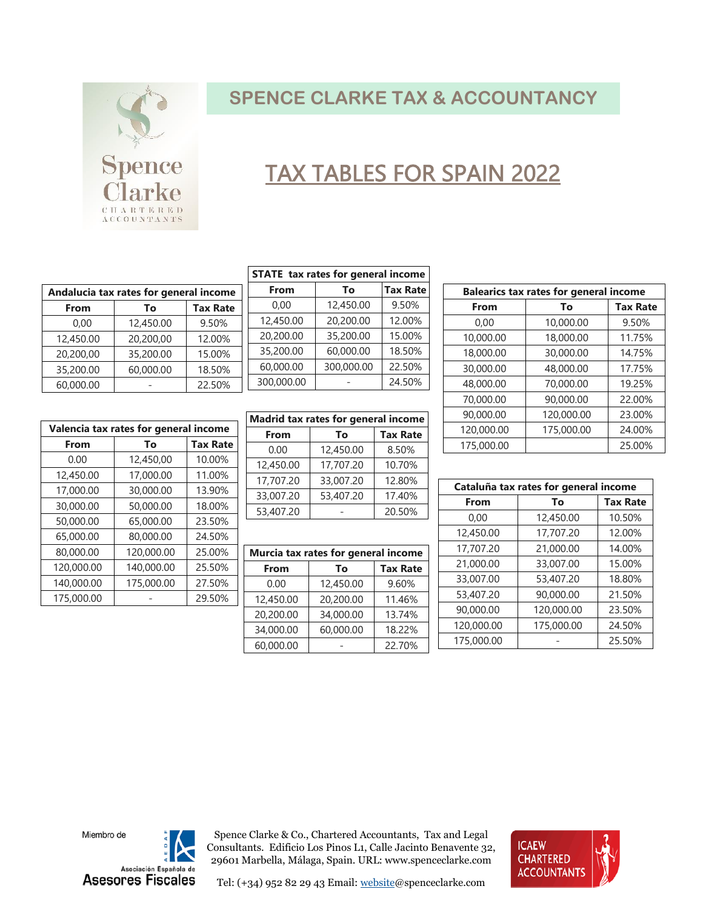

## TAX TABLES FOR SPAIN 2022

| Andalucia tax rates for general income |           |                 |
|----------------------------------------|-----------|-----------------|
| From                                   | To        | <b>Tax Rate</b> |
| 0.00                                   | 12,450.00 | 9.50%           |
| 12,450.00                              | 20,200,00 | 12.00%          |
| 20,200,00                              | 35,200.00 | 15.00%          |
| 35,200.00                              | 60,000.00 | 18.50%          |
| 60,000.00                              |           | 22.50%          |

| STATE tax rates for general income |    |                 |
|------------------------------------|----|-----------------|
| <b>From</b>                        | Тο | <b>Tax Rate</b> |

|            |            | .      |
|------------|------------|--------|
| 0.00       | 12,450.00  | 9.50%  |
| 12,450.00  | 20,200.00  | 12.00% |
| 20,200.00  | 35,200.00  | 15.00% |
| 35,200.00  | 60,000.00  | 18.50% |
| 60,000.00  | 300,000.00 | 22.50% |
| 300,000.00 |            | 24.50% |

|            | Valencia tax rates for general income |                 | Ma           |
|------------|---------------------------------------|-----------------|--------------|
| From       | To                                    | <b>Tax Rate</b> |              |
| 0.00       | 12,450,00                             | 10.00%          | 12           |
| 12,450.00  | 17,000.00                             | 11.00%          | $\mathbf{1}$ |
| 17,000.00  | 30,000.00                             | 13.90%          | 33           |
| 30,000.00  | 50,000.00                             | 18.00%          | 53           |
| 50,000.00  | 65,000.00                             | 23.50%          |              |
| 65,000.00  | 80,000.00                             | 24.50%          |              |
| 80,000.00  | 120,000.00                            | 25.00%          | Mυ           |
| 120,000.00 | 140,000.00                            | 25.50%          |              |
| 140,000.00 | 175,000.00                            | 27.50%          |              |
| 175,000.00 |                                       | 29.50%          | 12           |

| Madrid tax rates for general income |           |                 |
|-------------------------------------|-----------|-----------------|
| From                                | To        | <b>Tax Rate</b> |
| 0.00                                | 12,450.00 | 8.50%           |
| 12,450.00                           | 17,707.20 | 10.70%          |
| 17,707.20                           | 33,007.20 | 12.80%          |
| 33,007.20                           | 53,407.20 | 17.40%          |
| 53,407.20                           |           | 20.50%          |

| Murcia tax rates for general income |           |                 |
|-------------------------------------|-----------|-----------------|
| From                                | Tο        | <b>Tax Rate</b> |
| 0.00                                | 12,450.00 | 9.60%           |
| 12,450.00                           | 20,200.00 | 11.46%          |
| 20,200.00                           | 34,000.00 | 13.74%          |
| 34,000.00                           | 60,000.00 | 18.22%          |
| 60,000.00                           |           | 22.70%          |

| <b>Balearics tax rates for general income</b> |            |                 |
|-----------------------------------------------|------------|-----------------|
| From                                          | To         | <b>Tax Rate</b> |
| 0,00                                          | 10,000.00  | 9.50%           |
| 10,000.00                                     | 18,000.00  | 11.75%          |
| 18,000.00                                     | 30,000.00  | 14.75%          |
| 30,000.00                                     | 48,000.00  | 17.75%          |
| 48,000.00                                     | 70,000.00  | 19.25%          |
| 70,000.00                                     | 90,000.00  | 22.00%          |
| 90,000.00                                     | 120,000.00 | 23.00%          |
| 120,000.00                                    | 175,000.00 | 24.00%          |
| 175,000.00                                    |            | 25.00%          |

| Cataluña tax rates for general income |            |                 |
|---------------------------------------|------------|-----------------|
| From                                  | To         | <b>Tax Rate</b> |
| 0,00                                  | 12,450.00  | 10.50%          |
| 12,450.00                             | 17,707.20  | 12.00%          |
| 17,707.20                             | 21,000.00  | 14.00%          |
| 21,000.00                             | 33,007.00  | 15.00%          |
| 33,007.00                             | 53,407.20  | 18.80%          |
| 53,407.20                             | 90,000.00  | 21.50%          |
| 90,000.00                             | 120,000.00 | 23.50%          |
| 120,000.00                            | 175,000.00 | 24.50%          |
| 175,000.00                            |            | 25.50%          |

Miembro de



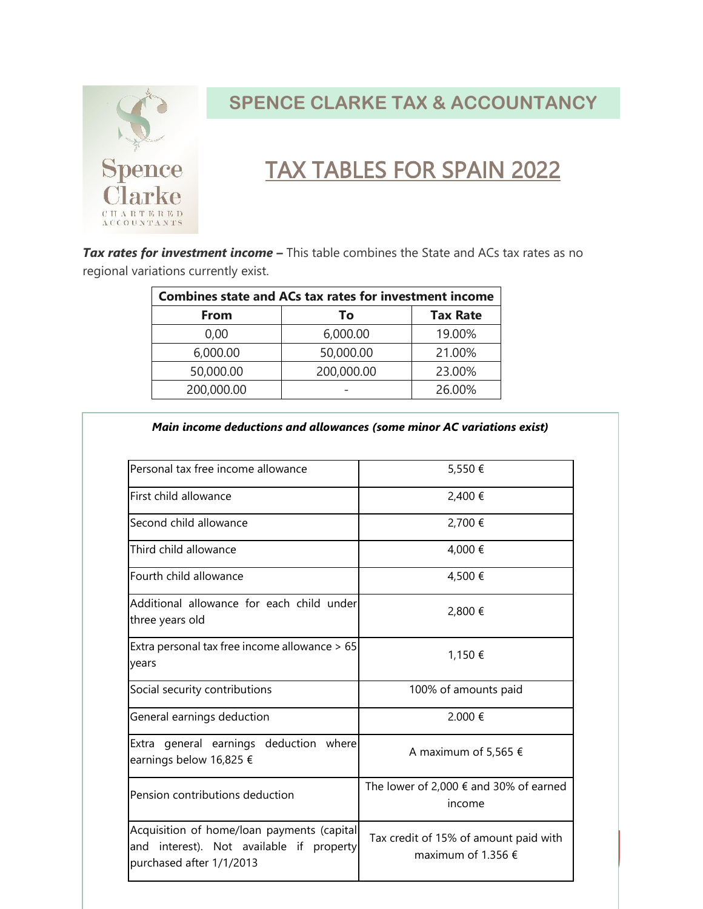

## TAX TABLES FOR SPAIN 2022

**Tax rates for investment income –** This table combines the State and ACs tax rates as no regional variations currently exist.

| <b>Combines state and ACs tax rates for investment income</b> |            |                 |
|---------------------------------------------------------------|------------|-----------------|
| From                                                          | Τo         | <b>Tax Rate</b> |
| 0,00                                                          | 6,000.00   | 19.00%          |
| 6,000.00                                                      | 50,000.00  | 21.00%          |
| 50,000.00                                                     | 200,000.00 | 23.00%          |
| 200,000.00                                                    |            | 26.00%          |

*Main income deductions and allowances (some minor AC variations exist)*

| Personal tax free income allowance                                                                                    | 5,550€                                                               |
|-----------------------------------------------------------------------------------------------------------------------|----------------------------------------------------------------------|
| First child allowance                                                                                                 | 2,400 €                                                              |
| Second child allowance                                                                                                | 2,700 €                                                              |
| Third child allowance                                                                                                 | 4,000 €                                                              |
| Fourth child allowance                                                                                                | 4,500€                                                               |
| Additional allowance for each child under<br>three years old                                                          | 2,800 €                                                              |
| Extra personal tax free income allowance > 65<br>years                                                                | 1,150 €                                                              |
| Social security contributions                                                                                         | 100% of amounts paid                                                 |
| General earnings deduction                                                                                            | 2.000 €                                                              |
| Extra general earnings deduction where<br>earnings below 16,825 €                                                     | A maximum of 5,565 $\epsilon$                                        |
| Pension contributions deduction                                                                                       | The lower of 2,000 $\epsilon$ and 30% of earned<br>income            |
| Acquisition of home/loan payments (capital<br>interest). Not available if property<br>and<br>purchased after 1/1/2013 | Tax credit of 15% of amount paid with<br>maximum of 1.356 $\epsilon$ |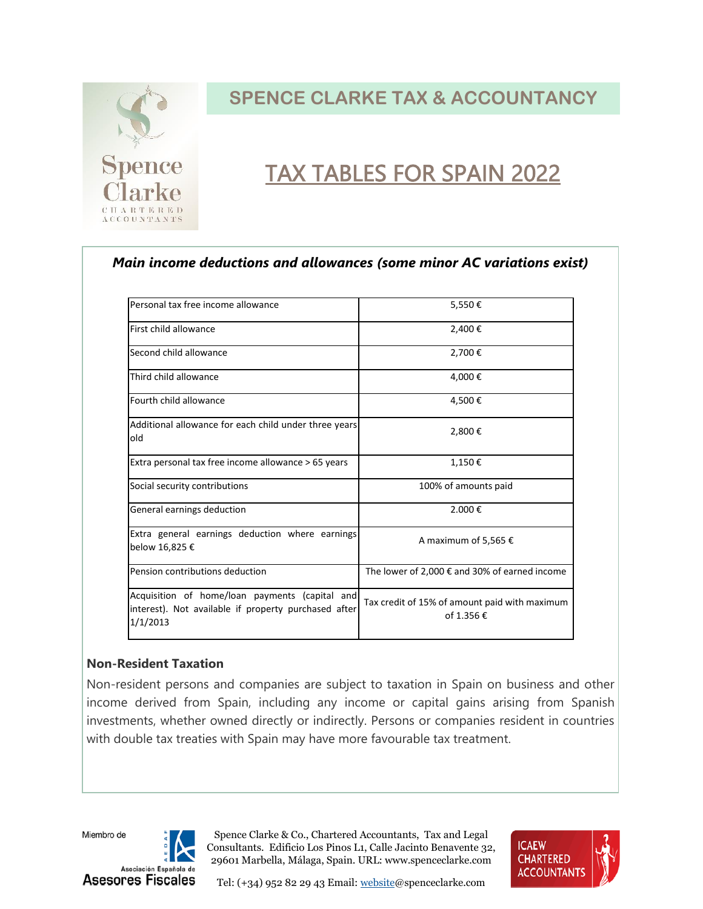

## TAX TABLES FOR SPAIN 2022

#### *Main income deductions and allowances (some minor AC variations exist)*

| Personal tax free income allowance                                                                                 | 5,550€                                                      |
|--------------------------------------------------------------------------------------------------------------------|-------------------------------------------------------------|
| First child allowance                                                                                              | 2,400€                                                      |
| Second child allowance                                                                                             | 2,700€                                                      |
| Third child allowance                                                                                              | 4,000€                                                      |
| Fourth child allowance                                                                                             | 4,500€                                                      |
| Additional allowance for each child under three years<br>old                                                       | 2,800€                                                      |
| Extra personal tax free income allowance > 65 years                                                                | 1,150€                                                      |
| Social security contributions                                                                                      | 100% of amounts paid                                        |
| General earnings deduction                                                                                         | 2.000€                                                      |
| Extra general earnings deduction where earnings<br>below 16,825 €                                                  | A maximum of 5,565 €                                        |
| Pension contributions deduction                                                                                    | The lower of 2,000 $\epsilon$ and 30% of earned income      |
| Acquisition of home/loan payments (capital and<br>interest). Not available if property purchased after<br>1/1/2013 | Tax credit of 15% of amount paid with maximum<br>of 1.356 € |

#### **Non-Resident Taxation**

Non-resident persons and companies are subject to taxation in Spain on business and other income derived from Spain, including any income or capital gains arising from Spanish investments, whether owned directly or indirectly. Persons or companies resident in countries with double tax treaties with Spain may have more favourable tax treatment.

Miembro de



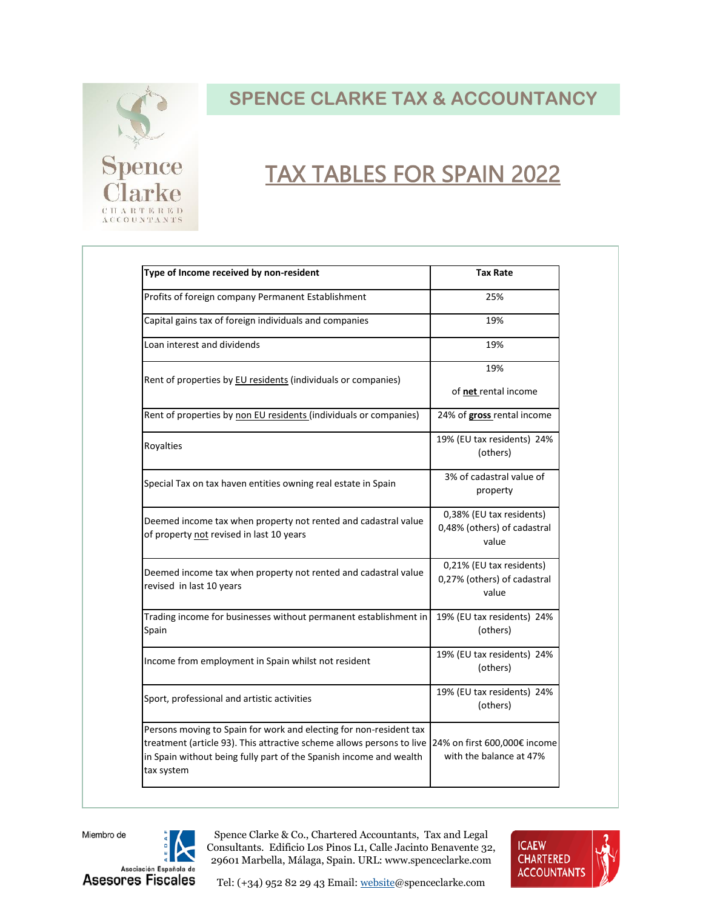

## TAX TABLES FOR SPAIN 2022

| Type of Income received by non-resident                                                                                                                                                                                         | Tax Rate                                                         |
|---------------------------------------------------------------------------------------------------------------------------------------------------------------------------------------------------------------------------------|------------------------------------------------------------------|
| Profits of foreign company Permanent Establishment                                                                                                                                                                              | 25%                                                              |
| Capital gains tax of foreign individuals and companies                                                                                                                                                                          | 19%                                                              |
| Loan interest and dividends                                                                                                                                                                                                     | 19%                                                              |
| Rent of properties by EU residents (individuals or companies)                                                                                                                                                                   | 19%                                                              |
|                                                                                                                                                                                                                                 | of net rental income                                             |
| Rent of properties by non EU residents (individuals or companies)                                                                                                                                                               | 24% of gross rental income                                       |
| Royalties                                                                                                                                                                                                                       | 19% (EU tax residents) 24%<br>(others)                           |
| Special Tax on tax haven entities owning real estate in Spain                                                                                                                                                                   | 3% of cadastral value of<br>property                             |
| Deemed income tax when property not rented and cadastral value<br>of property not revised in last 10 years                                                                                                                      | 0,38% (EU tax residents)<br>0,48% (others) of cadastral<br>value |
| Deemed income tax when property not rented and cadastral value<br>revised in last 10 years                                                                                                                                      | 0,21% (EU tax residents)<br>0,27% (others) of cadastral<br>value |
| Trading income for businesses without permanent establishment in<br>Spain                                                                                                                                                       | 19% (EU tax residents) 24%<br>(others)                           |
| Income from employment in Spain whilst not resident                                                                                                                                                                             | 19% (EU tax residents) 24%<br>(others)                           |
| Sport, professional and artistic activities                                                                                                                                                                                     | 19% (EU tax residents) 24%<br>(others)                           |
| Persons moving to Spain for work and electing for non-resident tax<br>treatment (article 93). This attractive scheme allows persons to live<br>in Spain without being fully part of the Spanish income and wealth<br>tax system | 24% on first 600,000€ income<br>with the balance at 47%          |

Miembro de



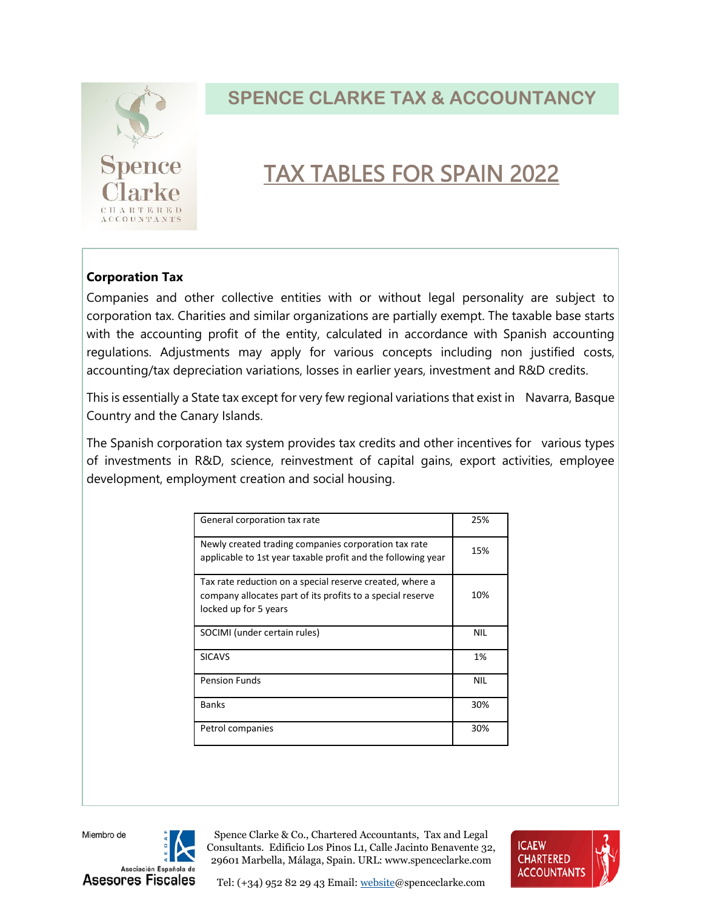

## TAX TABLES FOR SPAIN 2022

#### **Corporation Tax**

Companies and other collective entities with or without legal personality are subject to corporation tax. Charities and similar organizations are partially exempt. The taxable base starts with the accounting profit of the entity, calculated in accordance with Spanish accounting regulations. Adjustments may apply for various concepts including non justified costs, accounting/tax depreciation variations, losses in earlier years, investment and R&D credits.

This is essentially a State tax except for very few regional variations that exist in Navarra, Basque Country and the Canary Islands.

The Spanish corporation tax system provides tax credits and other incentives for various types of investments in R&D, science, reinvestment of capital gains, export activities, employee development, employment creation and social housing.

| General corporation tax rate                                                                                                                    | 25%        |
|-------------------------------------------------------------------------------------------------------------------------------------------------|------------|
| Newly created trading companies corporation tax rate<br>applicable to 1st year taxable profit and the following year                            | 15%        |
| Tax rate reduction on a special reserve created, where a<br>company allocates part of its profits to a special reserve<br>locked up for 5 years | 10%        |
| SOCIMI (under certain rules)                                                                                                                    | <b>NIL</b> |
| <b>SICAVS</b>                                                                                                                                   | 1%         |
| <b>Pension Funds</b>                                                                                                                            | <b>NIL</b> |
| <b>Banks</b>                                                                                                                                    | 30%        |
| Petrol companies                                                                                                                                | 30%        |

Miembro de



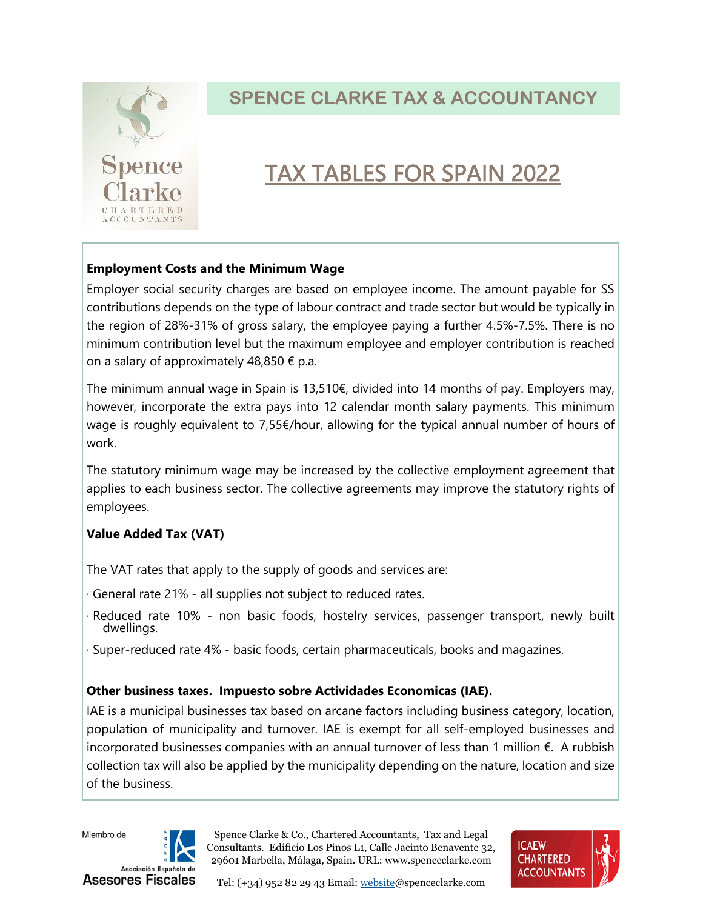

## TAX TABLES FOR SPAIN 2022

#### **Employment Costs and the Minimum Wage**

Employer social security charges are based on employee income. The amount payable for SS contributions depends on the type of labour contract and trade sector but would be typically in the region of 28%-31% of gross salary, the employee paying a further 4.5%-7.5%. There is no minimum contribution level but the maximum employee and employer contribution is reached on a salary of approximately 48,850  $\epsilon$  p.a.

The minimum annual wage in Spain is 13,510 $\epsilon$ , divided into 14 months of pay. Employers may, however, incorporate the extra pays into 12 calendar month salary payments. This minimum wage is roughly equivalent to 7,55€/hour, allowing for the typical annual number of hours of work.

The statutory minimum wage may be increased by the collective employment agreement that applies to each business sector. The collective agreements may improve the statutory rights of employees.

#### **Value Added Tax (VAT)**

The VAT rates that apply to the supply of goods and services are:

- · General rate 21% all supplies not subject to reduced rates.
- · Reduced rate 10% non basic foods, hostelry services, passenger transport, newly built dwellings.
- · Super-reduced rate 4% basic foods, certain pharmaceuticals, books and magazines.

#### **Other business taxes. Impuesto sobre Actividades Economicas (IAE).**

IAE is a municipal businesses tax based on arcane factors including business category, location, population of municipality and turnover. IAE is exempt for all self-employed businesses and incorporated businesses companies with an annual turnover of less than 1 million €. A rubbish collection tax will also be applied by the municipality depending on the nature, location and size of the business.





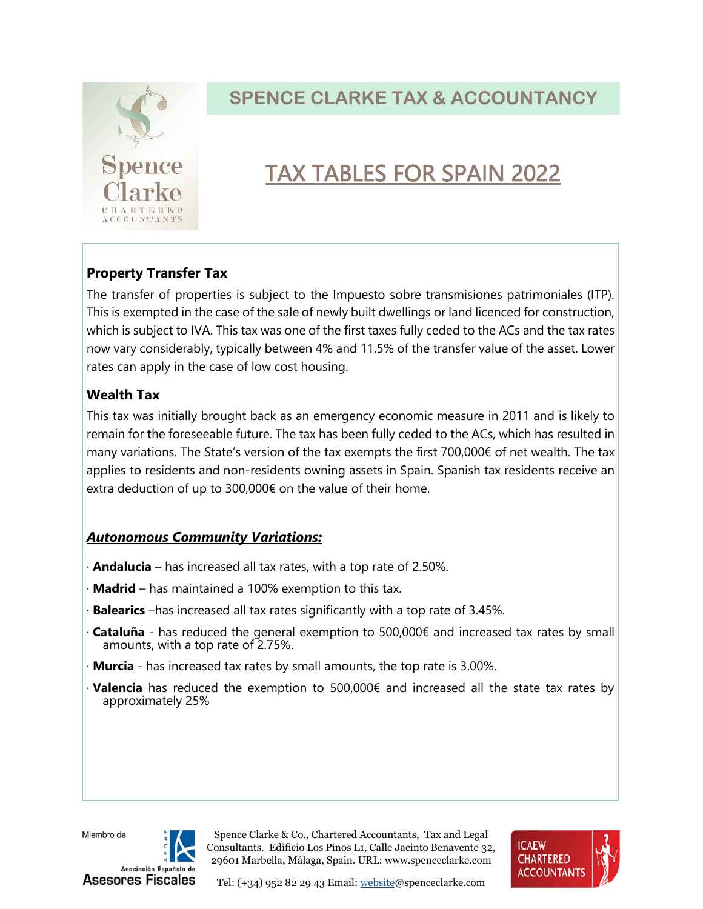

## TAX TABLES FOR SPAIN 2022

### **Property Transfer Tax**

The transfer of properties is subject to the Impuesto sobre transmisiones patrimoniales (ITP). This is exempted in the case of the sale of newly built dwellings or land licenced for construction, which is subject to IVA. This tax was one of the first taxes fully ceded to the ACs and the tax rates now vary considerably, typically between 4% and 11.5% of the transfer value of the asset. Lower rates can apply in the case of low cost housing.

#### **Wealth Tax**

This tax was initially brought back as an emergency economic measure in 2011 and is likely to remain for the foreseeable future. The tax has been fully ceded to the ACs, which has resulted in many variations. The State's version of the tax exempts the first 700,000€ of net wealth. The tax applies to residents and non-residents owning assets in Spain. Spanish tax residents receive an extra deduction of up to 300,000€ on the value of their home.

#### *Autonomous Community Variations:*

- · **Andalucia**  has increased all tax rates, with a top rate of 2.50%.
- · **Madrid**  has maintained a 100% exemption to this tax.
- · **Balearics** –has increased all tax rates significantly with a top rate of 3.45%.
- · **Cataluña**  has reduced the general exemption to 500,000€ and increased tax rates by small amounts, with a top rate of 2.75%.
- · **Murcia** has increased tax rates by small amounts, the top rate is 3.00%.
- · **Valencia** has reduced the exemption to 500,000€ and increased all the state tax rates by approximately 25%

Miembro de



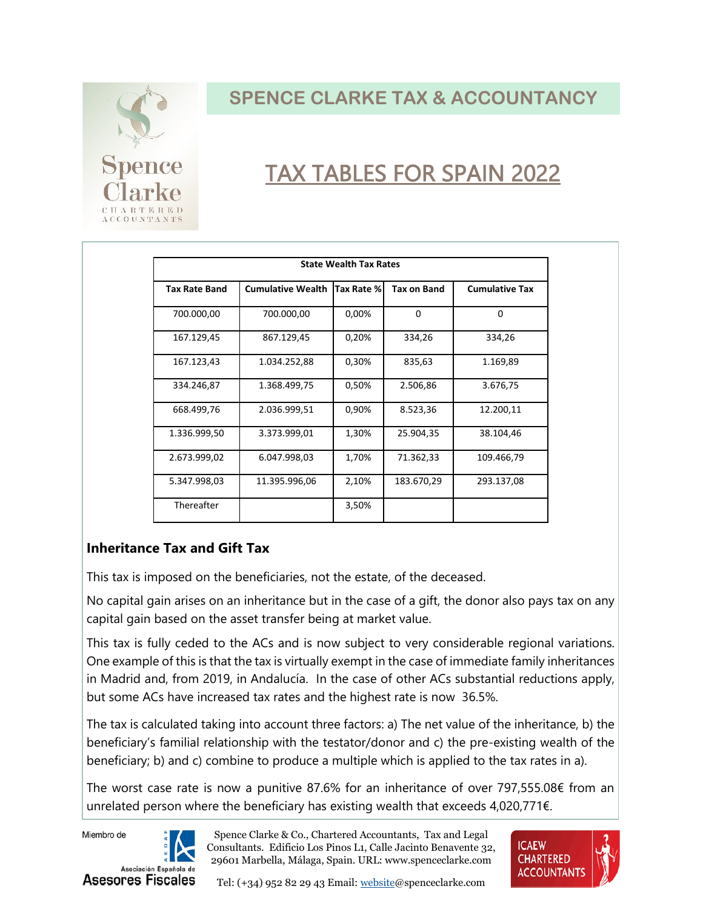

# TAX TABLES FOR SPAIN 2022

| <b>State Wealth Tax Rates</b> |                          |            |                    |                       |  |  |
|-------------------------------|--------------------------|------------|--------------------|-----------------------|--|--|
| <b>Tax Rate Band</b>          | <b>Cumulative Wealth</b> | Tax Rate % | <b>Tax on Band</b> | <b>Cumulative Tax</b> |  |  |
| 700.000,00                    | 700.000,00               | 0,00%      | 0                  | 0                     |  |  |
| 167.129,45                    | 867.129,45               | 0,20%      | 334,26             | 334,26                |  |  |
| 167.123,43                    | 1.034.252,88             | 0,30%      | 835,63             | 1.169,89              |  |  |
| 334.246,87                    | 1.368.499,75             | 0,50%      | 2.506,86           | 3.676,75              |  |  |
| 668.499,76                    | 2.036.999,51             | 0,90%      | 8.523,36           | 12.200,11             |  |  |
| 1.336.999,50                  | 3.373.999,01             | 1,30%      | 25.904,35          | 38.104,46             |  |  |
| 2.673.999,02                  | 6.047.998,03             | 1,70%      | 71.362,33          | 109.466,79            |  |  |
| 5.347.998,03                  | 11.395.996,06            | 2,10%      | 183.670,29         | 293.137,08            |  |  |
| Thereafter                    |                          | 3,50%      |                    |                       |  |  |

#### **Inheritance Tax and Gift Tax**

This tax is imposed on the beneficiaries, not the estate, of the deceased.

No capital gain arises on an inheritance but in the case of a gift, the donor also pays tax on any capital gain based on the asset transfer being at market value.

This tax is fully ceded to the ACs and is now subject to very considerable regional variations. One example of this is that the tax is virtually exempt in the case of immediate family inheritances in Madrid and, from 2019, in Andalucía. In the case of other ACs substantial reductions apply, but some ACs have increased tax rates and the highest rate is now 36.5%.

The tax is calculated taking into account three factors: a) The net value of the inheritance, b) the beneficiary's familial relationship with the testator/donor and c) the pre-existing wealth of the beneficiary; b) and c) combine to produce a multiple which is applied to the tax rates in a).

The worst case rate is now a punitive 87.6% for an inheritance of over 797,555.08€ from an unrelated person where the beneficiary has existing wealth that exceeds 4,020,771€.

Miembro de



Spence Clarke & Co., Chartered Accountants, Tax and Legal Consultants. Edificio Los Pinos L1, Calle Jacinto Benavente 32, 29601 Marbella, Málaga, Spain. URL: www.spenceclarke.com



Tel: (+34) 952 82 29 43 Email: websit[e@spenceclarke.com](file:///C:/Users/Alistair/AppData/Local/Microsoft/Windows/INetCache/Content.Outlook/ERNPDYHW/info@spenceclarke.com)